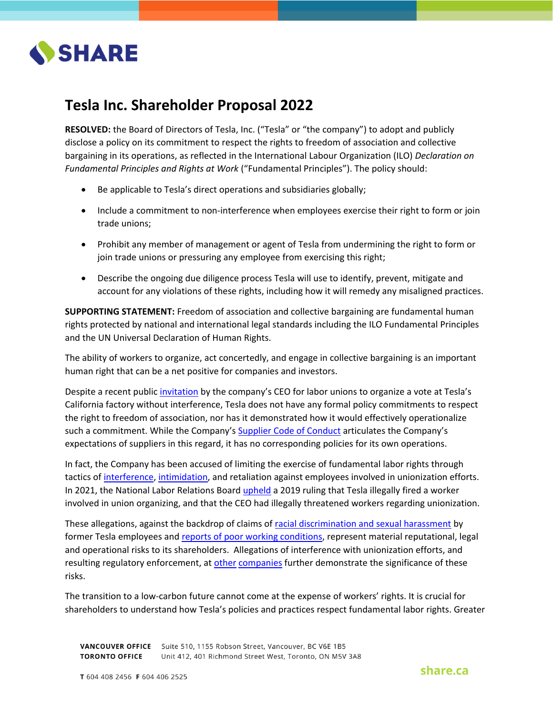

## **Tesla Inc. Shareholder Proposal 2022**

**RESOLVED:** the Board of Directors of Tesla, Inc. ("Tesla" or "the company") to adopt and publicly disclose a policy on its commitment to respect the rights to freedom of association and collective bargaining in its operations, as reflected in the International Labour Organization (ILO) *Declaration on Fundamental Principles and Rights at Work* ("Fundamental Principles"). The policy should:

- Be applicable to Tesla's direct operations and subsidiaries globally;
- Include a commitment to non-interference when employees exercise their right to form or join trade unions;
- Prohibit any member of management or agent of Tesla from undermining the right to form or join trade unions or pressuring any employee from exercising this right;
- Describe the ongoing due diligence process Tesla will use to identify, prevent, mitigate and account for any violations of these rights, including how it will remedy any misaligned practices.

**SUPPORTING STATEMENT:** Freedom of association and collective bargaining are fundamental human rights protected by national and international legal standards including the ILO Fundamental Principles and the UN Universal Declaration of Human Rights.

The ability of workers to organize, act concertedly, and engage in collective bargaining is an important human right that can be a net positive for companies and investors.

Despite a recent public [invitation](https://www.reuters.com/business/autos-transportation/tesla-chief-musk-invites-union-uaw-hold-vote-california-factory-2022-03-03/) by the company's CEO for labor unions to organize a vote at Tesla's California factory without interference, Tesla does not have any formal policy commitments to respect the right to freedom of association, nor has it demonstrated how it would effectively operationalize such a commitment. While the Company's [Supplier Code of Conduct](https://www.tesla.com/sites/default/files/about/legal/tesla-supplier-code-of-conduct.pdf) articulates the Company's expectations of suppliers in this regard, it has no corresponding policies for its own operations.

In fact, the Company has been accused of limiting the exercise of fundamental labor rights through tactics of [interference,](https://www.theguardian.com/technology/2018/sep/10/tesla-workers-union-elon-musk) [intimidation,](https://www.theguardian.com/technology/2017/feb/11/elon-musk-in-union-spat-after-wrongly-calling-tesla-worker-a-paid-agitator) and retaliation against employees involved in unionization efforts. In 2021, the National Labor Relations Board [upheld](https://www.nytimes.com/2021/03/25/business/musk-labor-board.html) a 2019 ruling that Tesla illegally fired a worker involved in union organizing, and that the CEO had illegally threatened workers regarding unionization.

These allegations, against the backdrop of claims of [racial discrimination and sexual harassment](https://www.businessinsider.com/tesla-lawsuits-former-workers-claim-racial-discrimination-sexual-harassment-2022-3) by former Tesla employees and [reports of poor working conditions,](https://www.theverge.com/2022/4/20/23033394/tesla-shanghai-factory-sleep-eat-factory-closed-loop-covid) represent material reputational, legal and operational risks to its shareholders. Allegations of interference with unionization efforts, and resulting regulatory enforcement, at [other](https://www.nytimes.com/2021/03/16/technology/amazon-unions-virginia.html) [companies](https://www.bnnbloomberg.ca/starbucks-workers-say-anti-union-campaign-violated-u-s-law-1.1677087) further demonstrate the significance of these risks.

The transition to a low-carbon future cannot come at the expense of workers' rights. It is crucial for shareholders to understand how Tesla's policies and practices respect fundamental labor rights. Greater

VANCOUVER OFFICE Suite 510, 1155 Robson Street, Vancouver, BC V6E 1B5 **TORONTO OFFICE** Unit 412, 401 Richmond Street West, Toronto, ON M5V 3A8